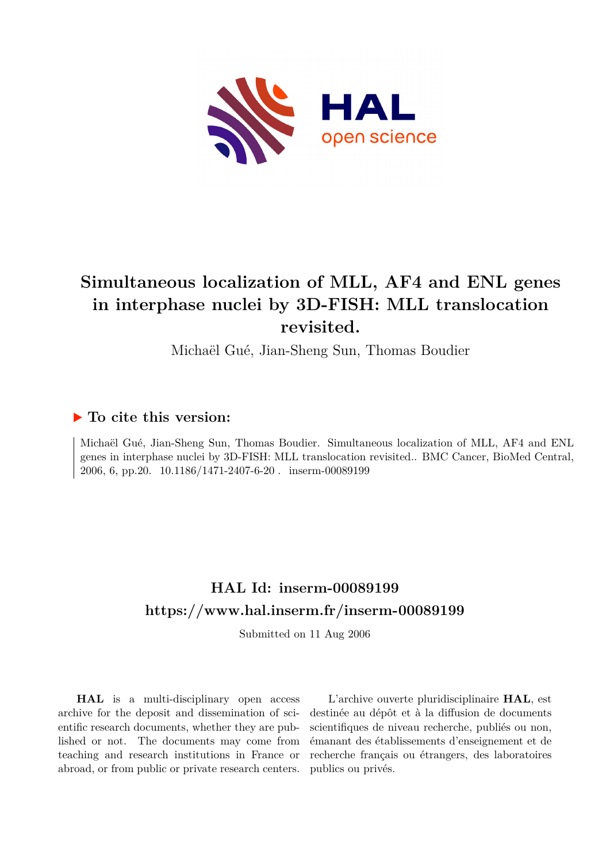

# **Simultaneous localization of MLL, AF4 and ENL genes in interphase nuclei by 3D-FISH: MLL translocation revisited.**

Michaël Gué, Jian-Sheng Sun, Thomas Boudier

# **To cite this version:**

Michaël Gué, Jian-Sheng Sun, Thomas Boudier. Simultaneous localization of MLL, AF4 and ENL genes in interphase nuclei by 3D-FISH: MLL translocation revisited.. BMC Cancer, BioMed Central, 2006, 6, pp.20. 10.1186/1471-2407-6-20. inserm-00089199

# **HAL Id: inserm-00089199 <https://www.hal.inserm.fr/inserm-00089199>**

Submitted on 11 Aug 2006

**HAL** is a multi-disciplinary open access archive for the deposit and dissemination of scientific research documents, whether they are published or not. The documents may come from teaching and research institutions in France or abroad, or from public or private research centers.

L'archive ouverte pluridisciplinaire **HAL**, est destinée au dépôt et à la diffusion de documents scientifiques de niveau recherche, publiés ou non, émanant des établissements d'enseignement et de recherche français ou étrangers, des laboratoires publics ou privés.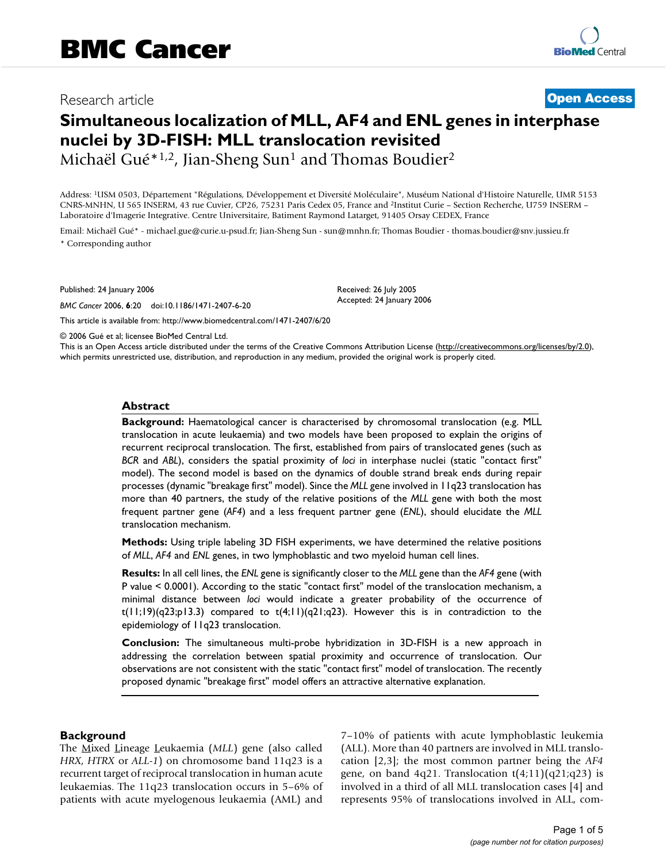# Research article **Contract Contract Contract Contract Contract Contract Contract Contract Contract Contract Contract Contract Contract Contract Contract Contract Contract Contract Contract Contract Contract Contract Contra**

# **Simultaneous localization of MLL, AF4 and ENL genes in interphase nuclei by 3D-FISH: MLL translocation revisited**

Michaël Gué<sup>\*1,2</sup>, Jian-Sheng Sun<sup>1</sup> and Thomas Boudier<sup>2</sup>

Address: <sup>1</sup>USM 0503, Département "Régulations, Développement et Diversité Moléculaire", Muséum National d'Histoire Naturelle, UMR 5153 CNRS-MNHN, U 565 INSERM, 43 rue Cuvier, CP26, 75231 Paris Cedex 05, France and <sup>2</sup>Institut Curie – Section Recherche, U759 INSERM – Laboratoire d'Imagerie Integrative. Centre Universitaire, Batiment Raymond Latarget, 91405 Orsay CEDEX, France

Email: Michaël Gué\* - michael.gue@curie.u-psud.fr; Jian-Sheng Sun - sun@mnhn.fr; Thomas Boudier - thomas.boudier@snv.jussieu.fr \* Corresponding author

Published: 24 January 2006

*BMC Cancer* 2006, **6**:20 doi:10.1186/1471-2407-6-20

[This article is available from: http://www.biomedcentral.com/1471-2407/6/20](http://www.biomedcentral.com/1471-2407/6/20)

Received: 26 July 2005 Accepted: 24 January 2006

© 2006 Gué et al; licensee BioMed Central Ltd.

This is an Open Access article distributed under the terms of the Creative Commons Attribution License [\(http://creativecommons.org/licenses/by/2.0\)](http://creativecommons.org/licenses/by/2.0), which permits unrestricted use, distribution, and reproduction in any medium, provided the original work is properly cited.

#### **Abstract**

**Background:** Haematological cancer is characterised by chromosomal translocation (e.g. MLL translocation in acute leukaemia) and two models have been proposed to explain the origins of recurrent reciprocal translocation. The first, established from pairs of translocated genes (such as *BCR* and *ABL*), considers the spatial proximity of *loci* in interphase nuclei (static "contact first" model). The second model is based on the dynamics of double strand break ends during repair processes (dynamic "breakage first" model). Since the *MLL* gene involved in 11q23 translocation has more than 40 partners, the study of the relative positions of the *MLL* gene with both the most frequent partner gene (*AF4*) and a less frequent partner gene (*ENL*), should elucidate the *MLL* translocation mechanism.

**Methods:** Using triple labeling 3D FISH experiments, we have determined the relative positions of *MLL*, *AF4* and *ENL* genes, in two lymphoblastic and two myeloid human cell lines.

**Results:** In all cell lines, the *ENL* gene is significantly closer to the *MLL* gene than the *AF4* gene (with P value < 0.0001). According to the static "contact first" model of the translocation mechanism, a minimal distance between *loci* would indicate a greater probability of the occurrence of  $t(11;19)(q23;p13.3)$  compared to  $t(4;11)(q21;q23)$ . However this is in contradiction to the epidemiology of 11q23 translocation.

**Conclusion:** The simultaneous multi-probe hybridization in 3D-FISH is a new approach in addressing the correlation between spatial proximity and occurrence of translocation. Our observations are not consistent with the static "contact first" model of translocation. The recently proposed dynamic "breakage first" model offers an attractive alternative explanation.

#### **Background**

The Mixed Lineage Leukaemia (*MLL*) gene (also called *HRX*, *HTRX* or *ALL-1*) on chromosome band 11q23 is a recurrent target of reciprocal translocation in human acute leukaemias. The 11q23 translocation occurs in 5–6% of patients with acute myelogenous leukaemia (AML) and 7–10% of patients with acute lymphoblastic leukemia (ALL). More than 40 partners are involved in MLL translocation [2,3]; the most common partner being the *AF4* gene, on band 4q21. Translocation  $t(4;11)(q21;q23)$  is involved in a third of all MLL translocation cases [4] and represents 95% of translocations involved in ALL, com-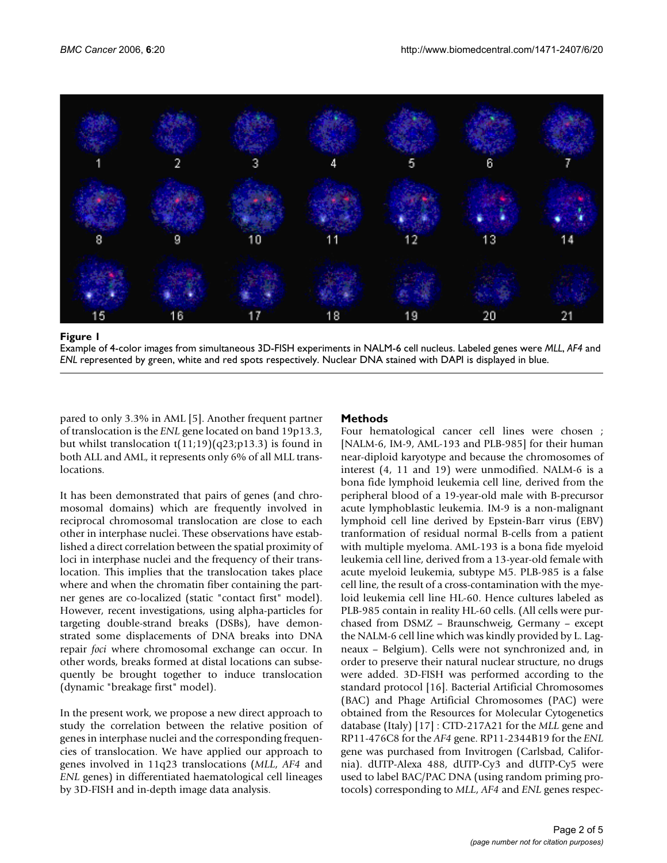

Example of 4-color images from simultaneous 3D-FISH experiments in NALM-6 cell nucleus. Labeled genes were *MLL*, *AF4* and *ENL* represented by green, white and red spots respectively. Nuclear DNA stained with DAPI is displayed in blue.

pared to only 3.3% in AML [5]. Another frequent partner of translocation is the *ENL* gene located on band 19p13.3, but whilst translocation  $t(11;19)(q23;p13.3)$  is found in both ALL and AML, it represents only 6% of all MLL translocations.

It has been demonstrated that pairs of genes (and chromosomal domains) which are frequently involved in reciprocal chromosomal translocation are close to each other in interphase nuclei. These observations have established a direct correlation between the spatial proximity of loci in interphase nuclei and the frequency of their translocation. This implies that the translocation takes place where and when the chromatin fiber containing the partner genes are co-localized (static "contact first" model). However, recent investigations, using alpha-particles for targeting double-strand breaks (DSBs), have demonstrated some displacements of DNA breaks into DNA repair *foci* where chromosomal exchange can occur. In other words, breaks formed at distal locations can subsequently be brought together to induce translocation (dynamic "breakage first" model).

In the present work, we propose a new direct approach to study the correlation between the relative position of genes in interphase nuclei and the corresponding frequencies of translocation. We have applied our approach to genes involved in 11q23 translocations (*MLL*, *AF4* and *ENL* genes) in differentiated haematological cell lineages by 3D-FISH and in-depth image data analysis.

## **Methods**

Four hematological cancer cell lines were chosen ; [NALM-6, IM-9, AML-193 and PLB-985] for their human near-diploid karyotype and because the chromosomes of interest (4, 11 and 19) were unmodified. NALM-6 is a bona fide lymphoid leukemia cell line, derived from the peripheral blood of a 19-year-old male with B-precursor acute lymphoblastic leukemia. IM-9 is a non-malignant lymphoid cell line derived by Epstein-Barr virus (EBV) tranformation of residual normal B-cells from a patient with multiple myeloma. AML-193 is a bona fide myeloid leukemia cell line, derived from a 13-year-old female with acute myeloid leukemia, subtype M5. PLB-985 is a false cell line, the result of a cross-contamination with the myeloid leukemia cell line HL-60. Hence cultures labeled as PLB-985 contain in reality HL-60 cells. (All cells were purchased from DSMZ – Braunschweig, Germany – except the NALM-6 cell line which was kindly provided by L. Lagneaux – Belgium). Cells were not synchronized and, in order to preserve their natural nuclear structure, no drugs were added. 3D-FISH was performed according to the standard protocol [16]. Bacterial Artificial Chromosomes (BAC) and Phage Artificial Chromosomes (PAC) were obtained from the Resources for Molecular Cytogenetics database (Italy) [17] : CTD-217A21 for the *MLL* gene and RP11-476C8 for the *AF4* gene. RP11-2344B19 for the *ENL* gene was purchased from Invitrogen (Carlsbad, California). dUTP-Alexa 488, dUTP-Cy3 and dUTP-Cy5 were used to label BAC/PAC DNA (using random priming protocols) corresponding to *MLL*, *AF4* and *ENL* genes respec-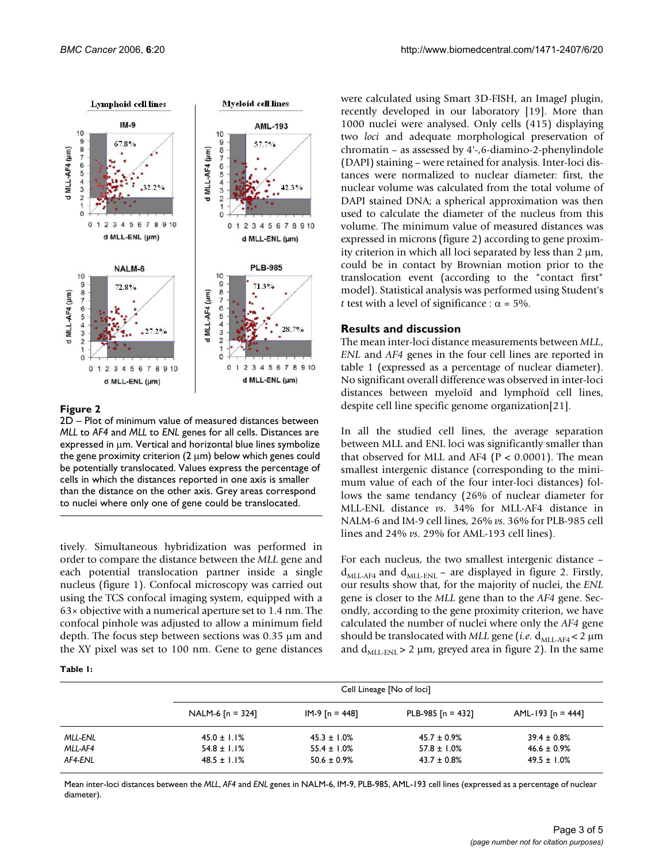

#### **Figure 2**

2D – Plot of minimum value of measured distances between *MLL* to *AF4* and *MLL* to *ENL* genes for all cells. Distances are expressed in µm. Vertical and horizontal blue lines symbolize the gene proximity criterion  $(2 \mu m)$  below which genes could be potentially translocated. Values express the percentage of cells in which the distances reported in one axis is smaller than the distance on the other axis. Grey areas correspond to nuclei where only one of gene could be translocated.

tively. Simultaneous hybridization was performed in order to compare the distance between the *MLL* gene and each potential translocation partner inside a single nucleus (figure 1). Confocal microscopy was carried out using the TCS confocal imaging system, equipped with a 63× objective with a numerical aperture set to 1.4 nm. The confocal pinhole was adjusted to allow a minimum field depth. The focus step between sections was 0.35 µm and the XY pixel was set to 100 nm. Gene to gene distances

**Table 1:** 

were calculated using Smart 3D-FISH, an ImageJ plugin, recently developed in our laboratory [19]. More than 1000 nuclei were analysed. Only cells (415) displaying two *loci* and adequate morphological preservation of chromatin – as assessed by 4'-,6-diamino-2-phenylindole (DAPI) staining – were retained for analysis. Inter-loci distances were normalized to nuclear diameter: first, the nuclear volume was calculated from the total volume of DAPI stained DNA; a spherical approximation was then used to calculate the diameter of the nucleus from this volume. The minimum value of measured distances was expressed in microns (figure 2) according to gene proximity criterion in which all loci separated by less than  $2 \mu m$ , could be in contact by Brownian motion prior to the translocation event (according to the "contact first" model). Statistical analysis was performed using Student's *t* test with a level of significance :  $\alpha = 5\%$ .

#### **Results and discussion**

The mean inter-loci distance measurements between *MLL*, *ENL* and *AF4* genes in the four cell lines are reported in table 1 (expressed as a percentage of nuclear diameter). No significant overall difference was observed in inter-loci distances between myeloïd and lymphoïd cell lines, despite cell line specific genome organization[21].

In all the studied cell lines, the average separation between MLL and ENL loci was significantly smaller than that observed for MLL and AF4 ( $P < 0.0001$ ). The mean smallest intergenic distance (corresponding to the minimum value of each of the four inter-loci distances) follows the same tendancy (26% of nuclear diameter for MLL-ENL distance *vs*. 34% for MLL-AF4 distance in NALM-6 and IM-9 cell lines, 26% *vs*. 36% for PLB-985 cell lines and 24% *vs*. 29% for AML-193 cell lines).

For each nucleus, the two smallest intergenic distance –  $d_{MLL-AF4}$  and  $d_{MLL-ENL}$  – are displayed in figure 2. Firstly, our results show that, for the majority of nuclei, the *ENL* gene is closer to the *MLL* gene than to the *AF4* gene. Secondly, according to the gene proximity criterion, we have calculated the number of nuclei where only the *AF4* gene should be translocated with *MLL* gene (*i.e.*  $d_{ML-AF4}$  < 2  $\mu$ m and  $d_{\text{ML-ENL}} > 2 \mu m$ , greyed area in figure 2). In the same

|         |                    | Cell Lineage [No of loci] |                     |                     |  |
|---------|--------------------|---------------------------|---------------------|---------------------|--|
|         | NALM-6 $[n = 324]$ | IM-9 [n = 448]            | PLB-985 $[n = 432]$ | AML-193 $[n = 444]$ |  |
| MLL-ENL | $45.0 \pm 1.1\%$   | $45.3 \pm 1.0\%$          | $45.7 \pm 0.9\%$    | $39.4 \pm 0.8\%$    |  |
| MLL-AF4 | $54.8 \pm 1.1\%$   | $55.4 \pm 1.0\%$          | $57.8 \pm 1.0\%$    | $46.6 \pm 0.9\%$    |  |
| AF4-ENL | $48.5 \pm 1.1\%$   | $50.6 \pm 0.9\%$          | $43.7 \pm 0.8\%$    | $49.5 \pm 1.0\%$    |  |

Mean inter-loci distances between the *MLL*, *AF4* and *ENL* genes in NALM-6, IM-9, PLB-985, AML-193 cell lines (expressed as a percentage of nuclear diameter).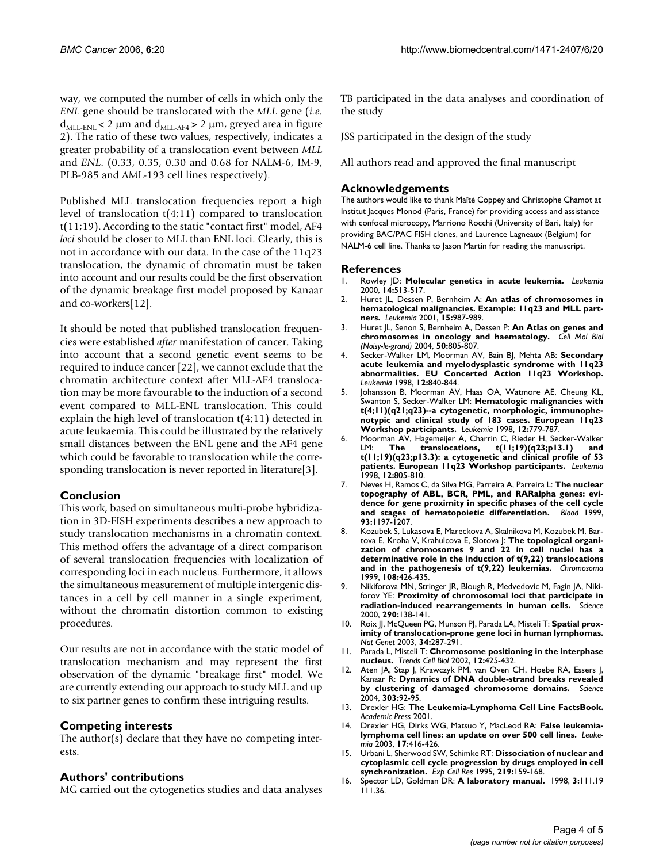way, we computed the number of cells in which only the *ENL* gene should be translocated with the *MLL* gene (*i.e.*  $d_{ML-ENL}$  < 2 µm and  $d_{ML-AF4}$  > 2 µm, greyed area in figure 2). The ratio of these two values, respectively, indicates a greater probability of a translocation event between *MLL* and *ENL*. (0.33, 0.35, 0.30 and 0.68 for NALM-6, IM-9, PLB-985 and AML-193 cell lines respectively).

Published MLL translocation frequencies report a high level of translocation t(4;11) compared to translocation t(11;19). According to the static "contact first" model, AF4 *loci* should be closer to MLL than ENL loci. Clearly, this is not in accordance with our data. In the case of the 11q23 translocation, the dynamic of chromatin must be taken into account and our results could be the first observation of the dynamic breakage first model proposed by Kanaar and co-workers[12].

It should be noted that published translocation frequencies were established *after* manifestation of cancer. Taking into account that a second genetic event seems to be required to induce cancer [22], we cannot exclude that the chromatin architecture context after MLL-AF4 translocation may be more favourable to the induction of a second event compared to MLL-ENL translocation. This could explain the high level of translocation t(4;11) detected in acute leukaemia. This could be illustrated by the relatively small distances between the ENL gene and the AF4 gene which could be favorable to translocation while the corresponding translocation is never reported in literature[3].

## **Conclusion**

This work, based on simultaneous multi-probe hybridization in 3D-FISH experiments describes a new approach to study translocation mechanisms in a chromatin context. This method offers the advantage of a direct comparison of several translocation frequencies with localization of corresponding loci in each nucleus. Furthermore, it allows the simultaneous measurement of multiple intergenic distances in a cell by cell manner in a single experiment, without the chromatin distortion common to existing procedures.

Our results are not in accordance with the static model of translocation mechanism and may represent the first observation of the dynamic "breakage first" model. We are currently extending our approach to study MLL and up to six partner genes to confirm these intriguing results.

## **Competing interests**

The author(s) declare that they have no competing interests.

#### **Authors' contributions**

MG carried out the cytogenetics studies and data analyses

TB participated in the data analyses and coordination of the study

JSS participated in the design of the study

All authors read and approved the final manuscript

### **Acknowledgements**

The authors would like to thank Maïté Coppey and Christophe Chamot at Institut Jacques Monod (Paris, France) for providing access and assistance with confocal microcopy, Marriono Rocchi (University of Bari, Italy) for providing BAC/PAC FISH clones, and Laurence Lagneaux (Belgium) for NALM-6 cell line. Thanks to Jason Martin for reading the manuscript.

#### **References**

- 1. Rowley JD: **[Molecular genetics in acute leukemia.](http://www.ncbi.nlm.nih.gov/entrez/query.fcgi?cmd=Retrieve&db=PubMed&dopt=Abstract&list_uids=10720153)** *Leukemia* 2000, **14:**513-517.
- 2. Huret JL, Dessen P, Bernheim A: **[An atlas of chromosomes in](http://www.ncbi.nlm.nih.gov/entrez/query.fcgi?cmd=Retrieve&db=PubMed&dopt=Abstract&list_uids=11417488) [hematological malignancies. Example: 11q23 and MLL part](http://www.ncbi.nlm.nih.gov/entrez/query.fcgi?cmd=Retrieve&db=PubMed&dopt=Abstract&list_uids=11417488)[ners.](http://www.ncbi.nlm.nih.gov/entrez/query.fcgi?cmd=Retrieve&db=PubMed&dopt=Abstract&list_uids=11417488)** *Leukemia* 2001, **15:**987-989.
- 3. Huret JL, Senon S, Bernheim A, Dessen P: **[An Atlas on genes and](http://www.ncbi.nlm.nih.gov/entrez/query.fcgi?cmd=Retrieve&db=PubMed&dopt=Abstract&list_uids=15672464) [chromosomes in oncology and haematology.](http://www.ncbi.nlm.nih.gov/entrez/query.fcgi?cmd=Retrieve&db=PubMed&dopt=Abstract&list_uids=15672464)** *Cell Mol Biol (Noisy-le-grand)* 2004, **50:**805-807.
- 4. Secker-Walker LM, Moorman AV, Bain BJ, Mehta AB: **[Secondary](http://www.ncbi.nlm.nih.gov/entrez/query.fcgi?cmd=Retrieve&db=PubMed&dopt=Abstract&list_uids=9593290) acute leukemia and myelodysplastic syndrome with 11q23 [abnormalities. EU Concerted Action 11q23 Workshop.](http://www.ncbi.nlm.nih.gov/entrez/query.fcgi?cmd=Retrieve&db=PubMed&dopt=Abstract&list_uids=9593290)** *Leukemia* 1998, **12:**840-844.
- 5. Johansson B, Moorman AV, Haas OA, Watmore AE, Cheung KL, Swanton S, Secker-Walker LM: **[Hematologic malignancies with](http://www.ncbi.nlm.nih.gov/entrez/query.fcgi?cmd=Retrieve&db=PubMed&dopt=Abstract&list_uids=9593281) t(4;11)(q21;q23)--a cytogenetic, morphologic, immunophe[notypic and clinical study of 183 cases. European 11q23](http://www.ncbi.nlm.nih.gov/entrez/query.fcgi?cmd=Retrieve&db=PubMed&dopt=Abstract&list_uids=9593281) [Workshop participants.](http://www.ncbi.nlm.nih.gov/entrez/query.fcgi?cmd=Retrieve&db=PubMed&dopt=Abstract&list_uids=9593281)** *Leukemia* 1998, **12:**779-787.
- 6. Moorman AV, Hagemeijer A, Charrin C, Rieder H, Secker-Walker LM: **[The translocations, t\(11;19\)\(q23;p13.1\) and](http://www.ncbi.nlm.nih.gov/entrez/query.fcgi?cmd=Retrieve&db=PubMed&dopt=Abstract&list_uids=9593285) [t\(11;19\)\(q23;p13.3\): a cytogenetic and clinical profile of 53](http://www.ncbi.nlm.nih.gov/entrez/query.fcgi?cmd=Retrieve&db=PubMed&dopt=Abstract&list_uids=9593285) [patients. European 11q23 Workshop participants.](http://www.ncbi.nlm.nih.gov/entrez/query.fcgi?cmd=Retrieve&db=PubMed&dopt=Abstract&list_uids=9593285)** *Leukemia* 1998, **12:**805-810.
- 7. Neves H, Ramos C, da Silva MG, Parreira A, Parreira L: **[The nuclear](http://www.ncbi.nlm.nih.gov/entrez/query.fcgi?cmd=Retrieve&db=PubMed&dopt=Abstract&list_uids=9949162) topography of ABL, BCR, PML, and RARalpha genes: evi[dence for gene proximity in specific phases of the cell cycle](http://www.ncbi.nlm.nih.gov/entrez/query.fcgi?cmd=Retrieve&db=PubMed&dopt=Abstract&list_uids=9949162) [and stages of hematopoietic differentiation.](http://www.ncbi.nlm.nih.gov/entrez/query.fcgi?cmd=Retrieve&db=PubMed&dopt=Abstract&list_uids=9949162)** *Blood* 1999, **93:**1197-1207.
- 8. Kozubek S, Lukasova E, Mareckova A, Skalnikova M, Kozubek M, Bartova E, Kroha V, Krahulcova E, Slotova J: **[The topological organi](http://www.ncbi.nlm.nih.gov/entrez/query.fcgi?cmd=Retrieve&db=PubMed&dopt=Abstract&list_uids=10654081)zation of chromosomes 9 and 22 in cell nuclei has a [determinative role in the induction of t\(9,22\) translocations](http://www.ncbi.nlm.nih.gov/entrez/query.fcgi?cmd=Retrieve&db=PubMed&dopt=Abstract&list_uids=10654081) [and in the pathogenesis of t\(9,22\) leukemias.](http://www.ncbi.nlm.nih.gov/entrez/query.fcgi?cmd=Retrieve&db=PubMed&dopt=Abstract&list_uids=10654081)** *Chromosoma* 1999, **108:**426-435.
- 9. Nikiforova MN, Stringer JR, Blough R, Medvedovic M, Fagin JA, Nikiforov YE: **[Proximity of chromosomal loci that participate in](http://www.ncbi.nlm.nih.gov/entrez/query.fcgi?cmd=Retrieve&db=PubMed&dopt=Abstract&list_uids=11021799) [radiation-induced rearrangements in human cells.](http://www.ncbi.nlm.nih.gov/entrez/query.fcgi?cmd=Retrieve&db=PubMed&dopt=Abstract&list_uids=11021799)** *Science* 2000, **290:**138-141.
- 10. Roix JJ, McQueen PG, Munson PJ, Parada LA, Misteli T: **[Spatial prox](http://www.ncbi.nlm.nih.gov/entrez/query.fcgi?cmd=Retrieve&db=PubMed&dopt=Abstract&list_uids=12808455)[imity of translocation-prone gene loci in human lymphomas.](http://www.ncbi.nlm.nih.gov/entrez/query.fcgi?cmd=Retrieve&db=PubMed&dopt=Abstract&list_uids=12808455)** *Nat Genet* 2003, **34:**287-291.
- 11. Parada L, Misteli T: **[Chromosome positioning in the interphase](http://www.ncbi.nlm.nih.gov/entrez/query.fcgi?cmd=Retrieve&db=PubMed&dopt=Abstract&list_uids=12220863) [nucleus.](http://www.ncbi.nlm.nih.gov/entrez/query.fcgi?cmd=Retrieve&db=PubMed&dopt=Abstract&list_uids=12220863)** *Trends Cell Biol* 2002, **12:**425-432.
- 12. Aten JA, Stap J, Krawczyk PM, van Oven CH, Hoebe RA, Essers J, Kanaar R: **[Dynamics of DNA double-strand breaks revealed](http://www.ncbi.nlm.nih.gov/entrez/query.fcgi?cmd=Retrieve&db=PubMed&dopt=Abstract&list_uids=14704429) [by clustering of damaged chromosome domains.](http://www.ncbi.nlm.nih.gov/entrez/query.fcgi?cmd=Retrieve&db=PubMed&dopt=Abstract&list_uids=14704429)** *Science* 2004, **303:**92-95.
- 13. Drexler HG: **The Leukemia-Lymphoma Cell Line FactsBook.** *Academic Press* 2001.
- 14. Drexler HG, Dirks WG, Matsuo Y, MacLeod RA: **[False leukemia](http://www.ncbi.nlm.nih.gov/entrez/query.fcgi?cmd=Retrieve&db=PubMed&dopt=Abstract&list_uids=12592342)[lymphoma cell lines: an update on over 500 cell lines.](http://www.ncbi.nlm.nih.gov/entrez/query.fcgi?cmd=Retrieve&db=PubMed&dopt=Abstract&list_uids=12592342)** *Leukemia* 2003, **17:**416-426.
- 15. Urbani L, Sherwood SW, Schimke RT: **[Dissociation of nuclear and](http://www.ncbi.nlm.nih.gov/entrez/query.fcgi?cmd=Retrieve&db=PubMed&dopt=Abstract&list_uids=7628532) [cytoplasmic cell cycle progression by drugs employed in cell](http://www.ncbi.nlm.nih.gov/entrez/query.fcgi?cmd=Retrieve&db=PubMed&dopt=Abstract&list_uids=7628532) [synchronization.](http://www.ncbi.nlm.nih.gov/entrez/query.fcgi?cmd=Retrieve&db=PubMed&dopt=Abstract&list_uids=7628532)** *Exp Cell Res* 1995, **219:**159-168.
- 16. Spector LD, Goldman DR: **A laboratory manual.** 1998, **3:**111.19 111.36.